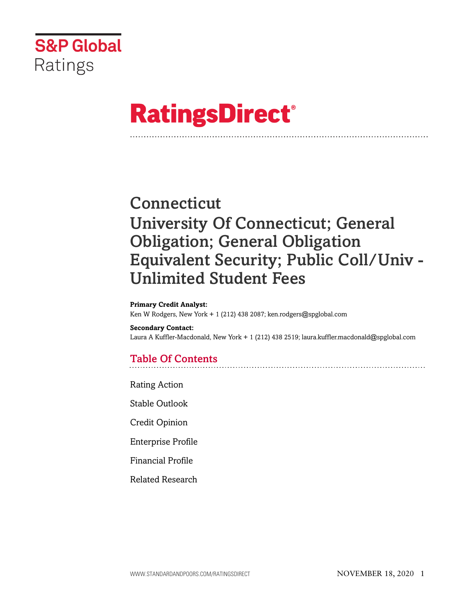

# **RatingsDirect®**

# **Connecticut** University Of Connecticut; General Obligation; General Obligation Equivalent Security; Public Coll/Univ - Unlimited Student Fees

#### **Primary Credit Analyst:**

Ken W Rodgers, New York + 1 (212) 438 2087; ken.rodgers@spglobal.com

#### **Secondary Contact:**

Laura A Kuffler-Macdonald, New York + 1 (212) 438 2519; laura.kuffler.macdonald@spglobal.com

# Table Of Contents

[Rating Action](#page-1-0)

[Stable Outlook](#page-4-0)

[Credit Opinion](#page-4-1)

[Enterprise Profile](#page-4-2)

[Financial Profile](#page-7-0)

[Related Research](#page-10-0)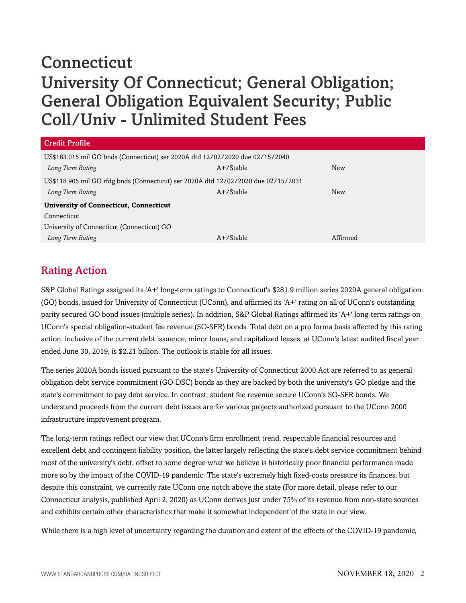# **Connecticut** University Of Connecticut; General Obligation; General Obligation Equivalent Security; Public Coll/Univ - Unlimited Student Fees

| <b>Credit Profile</b>                                                              |              |          |  |  |  |
|------------------------------------------------------------------------------------|--------------|----------|--|--|--|
| US\$163.015 mil GO bnds (Connecticut) ser 2020A dtd 12/02/2020 due 02/15/2040      |              |          |  |  |  |
| Long Term Rating                                                                   | $A+$ /Stable | New      |  |  |  |
| US\$118.905 mil GO rfdg bnds (Connecticut) ser 2020A dtd 12/02/2020 due 02/15/2031 |              |          |  |  |  |
| Long Term Rating                                                                   | $A+$ /Stable | New      |  |  |  |
| <b>University of Connecticut, Connecticut</b>                                      |              |          |  |  |  |
| Connecticut                                                                        |              |          |  |  |  |
| University of Connecticut (Connecticut) GO                                         |              |          |  |  |  |
| Long Term Rating                                                                   | $A+$ /Stable | Affirmed |  |  |  |

# <span id="page-1-0"></span>Rating Action

S&P Global Ratings assigned its 'A+' long-term ratings to Connecticut's \$281.9 million series 2020A general obligation (GO) bonds, issued for University of Connecticut (UConn), and affirmed its 'A+' rating on all of UConn's outstanding parity secured GO bond issues (multiple series). In addition, S&P Global Ratings affirmed its 'A+' long-term ratings on UConn's special obligation-student fee revenue (SO-SFR) bonds. Total debt on a pro forma basis affected by this rating action, inclusive of the current debt issuance, minor loans, and capitalized leases, at UConn's latest audited fiscal year ended June 30, 2019, is \$2.21 billion. The outlook is stable for all issues.

The series 2020A bonds issued pursuant to the state's University of Connecticut 2000 Act are referred to as general obligation debt service commitment (GO-DSC) bonds as they are backed by both the university's GO pledge and the state's commitment to pay debt service. In contrast, student fee revenue secure UConn's SO-SFR bonds. We understand proceeds from the current debt issues are for various projects authorized pursuant to the UConn 2000 infrastructure improvement program.

The long-term ratings reflect our view that UConn's firm enrollment trend, respectable financial resources and excellent debt and contingent liability position, the latter largely reflecting the state's debt service commitment behind most of the university's debt, offset to some degree what we believe is historically poor financial performance made more so by the impact of the COVID-19 pandemic. The state's extremely high fixed-costs pressure its finances, but despite this constraint, we currently rate UConn one notch above the state (For more detail, please refer to our Connecticut analysis, published April 2, 2020) as UConn derives just under 75% of its revenue from non-state sources and exhibits certain other characteristics that make it somewhat independent of the state in our view.

While there is a high level of uncertainty regarding the duration and extent of the effects of the COVID-19 pandemic,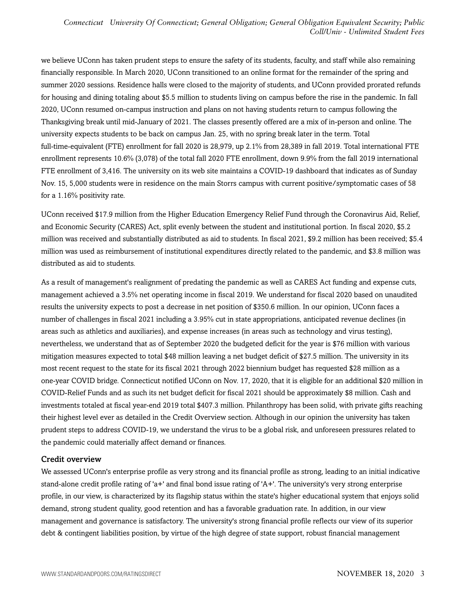we believe UConn has taken prudent steps to ensure the safety of its students, faculty, and staff while also remaining financially responsible. In March 2020, UConn transitioned to an online format for the remainder of the spring and summer 2020 sessions. Residence halls were closed to the majority of students, and UConn provided prorated refunds for housing and dining totaling about \$5.5 million to students living on campus before the rise in the pandemic. In fall 2020, UConn resumed on-campus instruction and plans on not having students return to campus following the Thanksgiving break until mid-January of 2021. The classes presently offered are a mix of in-person and online. The university expects students to be back on campus Jan. 25, with no spring break later in the term. Total full-time-equivalent (FTE) enrollment for fall 2020 is 28,979, up 2.1% from 28,389 in fall 2019. Total international FTE enrollment represents 10.6% (3,078) of the total fall 2020 FTE enrollment, down 9.9% from the fall 2019 international FTE enrollment of 3,416. The university on its web site maintains a COVID-19 dashboard that indicates as of Sunday Nov. 15, 5,000 students were in residence on the main Storrs campus with current positive/symptomatic cases of 58 for a 1.16% positivity rate.

UConn received \$17.9 million from the Higher Education Emergency Relief Fund through the Coronavirus Aid, Relief, and Economic Security (CARES) Act, split evenly between the student and institutional portion. In fiscal 2020, \$5.2 million was received and substantially distributed as aid to students. In fiscal 2021, \$9.2 million has been received; \$5.4 million was used as reimbursement of institutional expenditures directly related to the pandemic, and \$3.8 million was distributed as aid to students.

As a result of management's realignment of predating the pandemic as well as CARES Act funding and expense cuts, management achieved a 3.5% net operating income in fiscal 2019. We understand for fiscal 2020 based on unaudited results the university expects to post a decrease in net position of \$350.6 million. In our opinion, UConn faces a number of challenges in fiscal 2021 including a 3.95% cut in state appropriations, anticipated revenue declines (in areas such as athletics and auxiliaries), and expense increases (in areas such as technology and virus testing), nevertheless, we understand that as of September 2020 the budgeted deficit for the year is \$76 million with various mitigation measures expected to total \$48 million leaving a net budget deficit of \$27.5 million. The university in its most recent request to the state for its fiscal 2021 through 2022 biennium budget has requested \$28 million as a one-year COVID bridge. Connecticut notified UConn on Nov. 17, 2020, that it is eligible for an additional \$20 million in COVID-Relief Funds and as such its net budget deficit for fiscal 2021 should be approximately \$8 million. Cash and investments totaled at fiscal year-end 2019 total \$407.3 million. Philanthropy has been solid, with private gifts reaching their highest level ever as detailed in the Credit Overview section. Although in our opinion the university has taken prudent steps to address COVID-19, we understand the virus to be a global risk, and unforeseen pressures related to the pandemic could materially affect demand or finances.

#### Credit overview

We assessed UConn's enterprise profile as very strong and its financial profile as strong, leading to an initial indicative stand-alone credit profile rating of 'a+' and final bond issue rating of 'A+'. The university's very strong enterprise profile, in our view, is characterized by its flagship status within the state's higher educational system that enjoys solid demand, strong student quality, good retention and has a favorable graduation rate. In addition, in our view management and governance is satisfactory. The university's strong financial profile reflects our view of its superior debt & contingent liabilities position, by virtue of the high degree of state support, robust financial management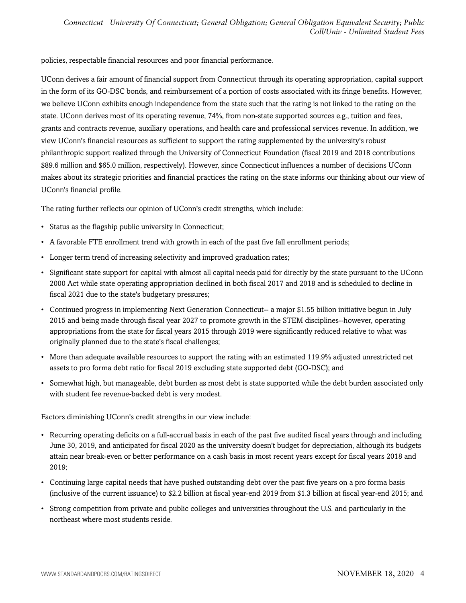policies, respectable financial resources and poor financial performance.

UConn derives a fair amount of financial support from Connecticut through its operating appropriation, capital support in the form of its GO-DSC bonds, and reimbursement of a portion of costs associated with its fringe benefits. However, we believe UConn exhibits enough independence from the state such that the rating is not linked to the rating on the state. UConn derives most of its operating revenue, 74%, from non-state supported sources e.g., tuition and fees, grants and contracts revenue, auxiliary operations, and health care and professional services revenue. In addition, we view UConn's financial resources as sufficient to support the rating supplemented by the university's robust philanthropic support realized through the University of Connecticut Foundation (fiscal 2019 and 2018 contributions \$89.6 million and \$65.0 million, respectively). However, since Connecticut influences a number of decisions UConn makes about its strategic priorities and financial practices the rating on the state informs our thinking about our view of UConn's financial profile.

The rating further reflects our opinion of UConn's credit strengths, which include:

- Status as the flagship public university in Connecticut;
- A favorable FTE enrollment trend with growth in each of the past five fall enrollment periods;
- Longer term trend of increasing selectivity and improved graduation rates;
- Significant state support for capital with almost all capital needs paid for directly by the state pursuant to the UConn 2000 Act while state operating appropriation declined in both fiscal 2017 and 2018 and is scheduled to decline in fiscal 2021 due to the state's budgetary pressures;
- Continued progress in implementing Next Generation Connecticut-- a major \$1.55 billion initiative begun in July 2015 and being made through fiscal year 2027 to promote growth in the STEM disciplines--however, operating appropriations from the state for fiscal years 2015 through 2019 were significantly reduced relative to what was originally planned due to the state's fiscal challenges;
- More than adequate available resources to support the rating with an estimated 119.9% adjusted unrestricted net assets to pro forma debt ratio for fiscal 2019 excluding state supported debt (GO-DSC); and
- Somewhat high, but manageable, debt burden as most debt is state supported while the debt burden associated only with student fee revenue-backed debt is very modest.

Factors diminishing UConn's credit strengths in our view include:

- Recurring operating deficits on a full-accrual basis in each of the past five audited fiscal years through and including June 30, 2019, and anticipated for fiscal 2020 as the university doesn't budget for depreciation, although its budgets attain near break-even or better performance on a cash basis in most recent years except for fiscal years 2018 and 2019;
- Continuing large capital needs that have pushed outstanding debt over the past five years on a pro forma basis (inclusive of the current issuance) to \$2.2 billion at fiscal year-end 2019 from \$1.3 billion at fiscal year-end 2015; and
- Strong competition from private and public colleges and universities throughout the U.S. and particularly in the northeast where most students reside.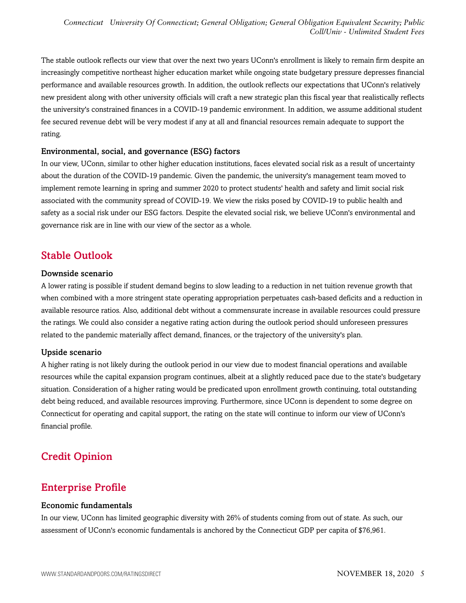The stable outlook reflects our view that over the next two years UConn's enrollment is likely to remain firm despite an increasingly competitive northeast higher education market while ongoing state budgetary pressure depresses financial performance and available resources growth. In addition, the outlook reflects our expectations that UConn's relatively new president along with other university officials will craft a new strategic plan this fiscal year that realistically reflects the university's constrained finances in a COVID-19 pandemic environment. In addition, we assume additional student fee secured revenue debt will be very modest if any at all and financial resources remain adequate to support the rating.

#### Environmental, social, and governance (ESG) factors

In our view, UConn, similar to other higher education institutions, faces elevated social risk as a result of uncertainty about the duration of the COVID-19 pandemic. Given the pandemic, the university's management team moved to implement remote learning in spring and summer 2020 to protect students' health and safety and limit social risk associated with the community spread of COVID-19. We view the risks posed by COVID-19 to public health and safety as a social risk under our ESG factors. Despite the elevated social risk, we believe UConn's environmental and governance risk are in line with our view of the sector as a whole.

### <span id="page-4-0"></span>Stable Outlook

#### Downside scenario

A lower rating is possible if student demand begins to slow leading to a reduction in net tuition revenue growth that when combined with a more stringent state operating appropriation perpetuates cash-based deficits and a reduction in available resource ratios. Also, additional debt without a commensurate increase in available resources could pressure the ratings. We could also consider a negative rating action during the outlook period should unforeseen pressures related to the pandemic materially affect demand, finances, or the trajectory of the university's plan.

#### Upside scenario

A higher rating is not likely during the outlook period in our view due to modest financial operations and available resources while the capital expansion program continues, albeit at a slightly reduced pace due to the state's budgetary situation. Consideration of a higher rating would be predicated upon enrollment growth continuing, total outstanding debt being reduced, and available resources improving. Furthermore, since UConn is dependent to some degree on Connecticut for operating and capital support, the rating on the state will continue to inform our view of UConn's financial profile.

# <span id="page-4-1"></span>Credit Opinion

# <span id="page-4-2"></span>Enterprise Profile

#### Economic fundamentals

In our view, UConn has limited geographic diversity with 26% of students coming from out of state. As such, our assessment of UConn's economic fundamentals is anchored by the Connecticut GDP per capita of \$76,961.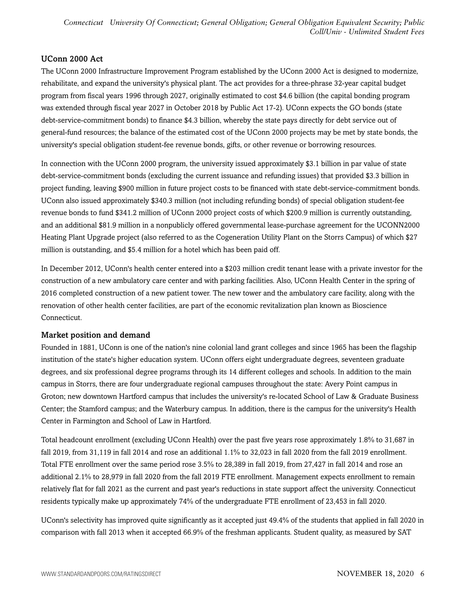*Connecticut University Of Connecticut; General Obligation; General Obligation Equivalent Security; Public Coll/Univ - Unlimited Student Fees*

#### UConn 2000 Act

The UConn 2000 Infrastructure Improvement Program established by the UConn 2000 Act is designed to modernize, rehabilitate, and expand the university's physical plant. The act provides for a three-phrase 32-year capital budget program from fiscal years 1996 through 2027, originally estimated to cost \$4.6 billion (the capital bonding program was extended through fiscal year 2027 in October 2018 by Public Act 17-2). UConn expects the GO bonds (state debt-service-commitment bonds) to finance \$4.3 billion, whereby the state pays directly for debt service out of general-fund resources; the balance of the estimated cost of the UConn 2000 projects may be met by state bonds, the university's special obligation student-fee revenue bonds, gifts, or other revenue or borrowing resources.

In connection with the UConn 2000 program, the university issued approximately \$3.1 billion in par value of state debt-service-commitment bonds (excluding the current issuance and refunding issues) that provided \$3.3 billion in project funding, leaving \$900 million in future project costs to be financed with state debt-service-commitment bonds. UConn also issued approximately \$340.3 million (not including refunding bonds) of special obligation student-fee revenue bonds to fund \$341.2 million of UConn 2000 project costs of which \$200.9 million is currently outstanding, and an additional \$81.9 million in a nonpublicly offered governmental lease-purchase agreement for the UCONN2000 Heating Plant Upgrade project (also referred to as the Cogeneration Utility Plant on the Storrs Campus) of which \$27 million is outstanding, and \$5.4 million for a hotel which has been paid off.

In December 2012, UConn's health center entered into a \$203 million credit tenant lease with a private investor for the construction of a new ambulatory care center and with parking facilities. Also, UConn Health Center in the spring of 2016 completed construction of a new patient tower. The new tower and the ambulatory care facility, along with the renovation of other health center facilities, are part of the economic revitalization plan known as Bioscience Connecticut.

#### Market position and demand

Founded in 1881, UConn is one of the nation's nine colonial land grant colleges and since 1965 has been the flagship institution of the state's higher education system. UConn offers eight undergraduate degrees, seventeen graduate degrees, and six professional degree programs through its 14 different colleges and schools. In addition to the main campus in Storrs, there are four undergraduate regional campuses throughout the state: Avery Point campus in Groton; new downtown Hartford campus that includes the university's re-located School of Law & Graduate Business Center; the Stamford campus; and the Waterbury campus. In addition, there is the campus for the university's Health Center in Farmington and School of Law in Hartford.

Total headcount enrollment (excluding UConn Health) over the past five years rose approximately 1.8% to 31,687 in fall 2019, from 31,119 in fall 2014 and rose an additional 1.1% to 32,023 in fall 2020 from the fall 2019 enrollment. Total FTE enrollment over the same period rose 3.5% to 28,389 in fall 2019, from 27,427 in fall 2014 and rose an additional 2.1% to 28,979 in fall 2020 from the fall 2019 FTE enrollment. Management expects enrollment to remain relatively flat for fall 2021 as the current and past year's reductions in state support affect the university. Connecticut residents typically make up approximately 74% of the undergraduate FTE enrollment of 23,453 in fall 2020.

UConn's selectivity has improved quite significantly as it accepted just 49.4% of the students that applied in fall 2020 in comparison with fall 2013 when it accepted 66.9% of the freshman applicants. Student quality, as measured by SAT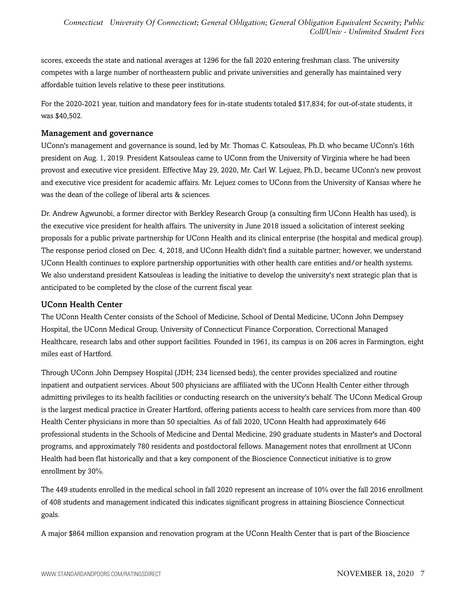scores, exceeds the state and national averages at 1296 for the fall 2020 entering freshman class. The university competes with a large number of northeastern public and private universities and generally has maintained very affordable tuition levels relative to these peer institutions.

For the 2020-2021 year, tuition and mandatory fees for in-state students totaled \$17,834; for out-of-state students, it was \$40,502.

#### Management and governance

UConn's management and governance is sound, led by Mr. Thomas C. Katsouleas, Ph.D. who became UConn's 16th president on Aug. 1, 2019. President Katsouleas came to UConn from the University of Virginia where he had been provost and executive vice president. Effective May 29, 2020, Mr. Carl W. Lejuez, Ph.D., became UConn's new provost and executive vice president for academic affairs. Mr. Lejuez comes to UConn from the University of Kansas where he was the dean of the college of liberal arts & sciences.

Dr. Andrew Agwunobi, a former director with Berkley Research Group (a consulting firm UConn Health has used), is the executive vice president for health affairs. The university in June 2018 issued a solicitation of interest seeking proposals for a public private partnership for UConn Health and its clinical enterprise (the hospital and medical group). The response period closed on Dec. 4, 2018, and UConn Health didn't find a suitable partner; however, we understand UConn Health continues to explore partnership opportunities with other health care entities and/or health systems. We also understand president Katsouleas is leading the initiative to develop the university's next strategic plan that is anticipated to be completed by the close of the current fiscal year.

#### UConn Health Center

The UConn Health Center consists of the School of Medicine, School of Dental Medicine, UConn John Dempsey Hospital, the UConn Medical Group, University of Connecticut Finance Corporation, Correctional Managed Healthcare, research labs and other support facilities. Founded in 1961, its campus is on 206 acres in Farmington, eight miles east of Hartford.

Through UConn John Dempsey Hospital (JDH; 234 licensed beds), the center provides specialized and routine inpatient and outpatient services. About 500 physicians are affiliated with the UConn Health Center either through admitting privileges to its health facilities or conducting research on the university's behalf. The UConn Medical Group is the largest medical practice in Greater Hartford, offering patients access to health care services from more than 400 Health Center physicians in more than 50 specialties. As of fall 2020, UConn Health had approximately 646 professional students in the Schools of Medicine and Dental Medicine, 290 graduate students in Master's and Doctoral programs, and approximately 780 residents and postdoctoral fellows. Management notes that enrollment at UConn Health had been flat historically and that a key component of the Bioscience Connecticut initiative is to grow enrollment by 30%.

The 449 students enrolled in the medical school in fall 2020 represent an increase of 10% over the fall 2016 enrollment of 408 students and management indicated this indicates significant progress in attaining Bioscience Connecticut goals.

A major \$864 million expansion and renovation program at the UConn Health Center that is part of the Bioscience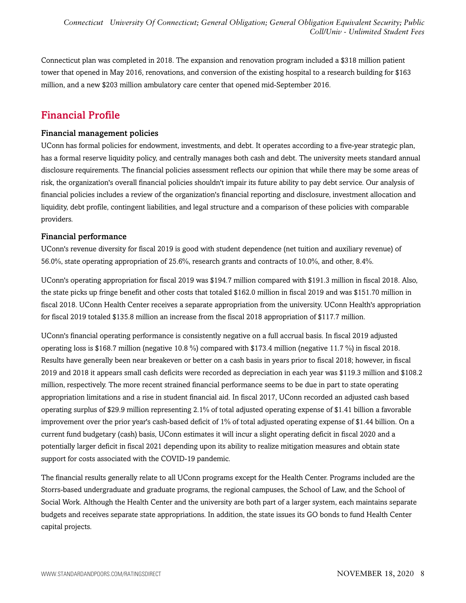Connecticut plan was completed in 2018. The expansion and renovation program included a \$318 million patient tower that opened in May 2016, renovations, and conversion of the existing hospital to a research building for \$163 million, and a new \$203 million ambulatory care center that opened mid-September 2016.

## <span id="page-7-0"></span>Financial Profile

#### Financial management policies

UConn has formal policies for endowment, investments, and debt. It operates according to a five-year strategic plan, has a formal reserve liquidity policy, and centrally manages both cash and debt. The university meets standard annual disclosure requirements. The financial policies assessment reflects our opinion that while there may be some areas of risk, the organization's overall financial policies shouldn't impair its future ability to pay debt service. Our analysis of financial policies includes a review of the organization's financial reporting and disclosure, investment allocation and liquidity, debt profile, contingent liabilities, and legal structure and a comparison of these policies with comparable providers.

#### Financial performance

UConn's revenue diversity for fiscal 2019 is good with student dependence (net tuition and auxiliary revenue) of 56.0%, state operating appropriation of 25.6%, research grants and contracts of 10.0%, and other, 8.4%.

UConn's operating appropriation for fiscal 2019 was \$194.7 million compared with \$191.3 million in fiscal 2018. Also, the state picks up fringe benefit and other costs that totaled \$162.0 million in fiscal 2019 and was \$151.70 million in fiscal 2018. UConn Health Center receives a separate appropriation from the university. UConn Health's appropriation for fiscal 2019 totaled \$135.8 million an increase from the fiscal 2018 appropriation of \$117.7 million.

UConn's financial operating performance is consistently negative on a full accrual basis. In fiscal 2019 adjusted operating loss is \$168.7 million (negative 10.8 %) compared with \$173.4 million (negative 11.7 %) in fiscal 2018. Results have generally been near breakeven or better on a cash basis in years prior to fiscal 2018; however, in fiscal 2019 and 2018 it appears small cash deficits were recorded as depreciation in each year was \$119.3 million and \$108.2 million, respectively. The more recent strained financial performance seems to be due in part to state operating appropriation limitations and a rise in student financial aid. In fiscal 2017, UConn recorded an adjusted cash based operating surplus of \$29.9 million representing 2.1% of total adjusted operating expense of \$1.41 billion a favorable improvement over the prior year's cash-based deficit of 1% of total adjusted operating expense of \$1.44 billion. On a current fund budgetary (cash) basis, UConn estimates it will incur a slight operating deficit in fiscal 2020 and a potentially larger deficit in fiscal 2021 depending upon its ability to realize mitigation measures and obtain state support for costs associated with the COVID-19 pandemic.

The financial results generally relate to all UConn programs except for the Health Center. Programs included are the Storrs-based undergraduate and graduate programs, the regional campuses, the School of Law, and the School of Social Work. Although the Health Center and the university are both part of a larger system, each maintains separate budgets and receives separate state appropriations. In addition, the state issues its GO bonds to fund Health Center capital projects.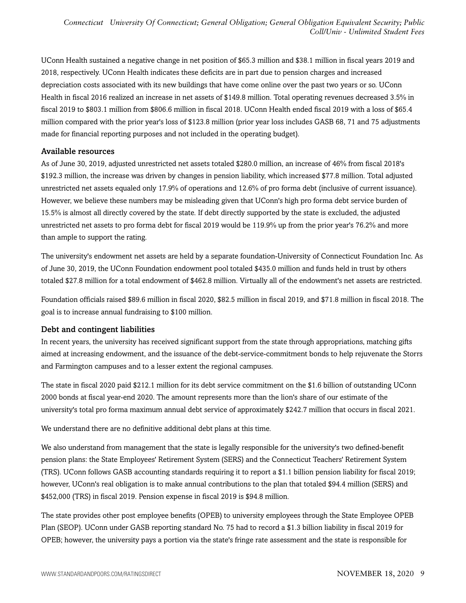UConn Health sustained a negative change in net position of \$65.3 million and \$38.1 million in fiscal years 2019 and 2018, respectively. UConn Health indicates these deficits are in part due to pension charges and increased depreciation costs associated with its new buildings that have come online over the past two years or so. UConn Health in fiscal 2016 realized an increase in net assets of \$149.8 million. Total operating revenues decreased 3.5% in fiscal 2019 to \$803.1 million from \$806.6 million in fiscal 2018. UConn Health ended fiscal 2019 with a loss of \$65.4 million compared with the prior year's loss of \$123.8 million (prior year loss includes GASB 68, 71 and 75 adjustments made for financial reporting purposes and not included in the operating budget).

#### Available resources

As of June 30, 2019, adjusted unrestricted net assets totaled \$280.0 million, an increase of 46% from fiscal 2018's \$192.3 million, the increase was driven by changes in pension liability, which increased \$77.8 million. Total adjusted unrestricted net assets equaled only 17.9% of operations and 12.6% of pro forma debt (inclusive of current issuance). However, we believe these numbers may be misleading given that UConn's high pro forma debt service burden of 15.5% is almost all directly covered by the state. If debt directly supported by the state is excluded, the adjusted unrestricted net assets to pro forma debt for fiscal 2019 would be 119.9% up from the prior year's 76.2% and more than ample to support the rating.

The university's endowment net assets are held by a separate foundation-University of Connecticut Foundation Inc. As of June 30, 2019, the UConn Foundation endowment pool totaled \$435.0 million and funds held in trust by others totaled \$27.8 million for a total endowment of \$462.8 million. Virtually all of the endowment's net assets are restricted.

Foundation officials raised \$89.6 million in fiscal 2020, \$82.5 million in fiscal 2019, and \$71.8 million in fiscal 2018. The goal is to increase annual fundraising to \$100 million.

#### Debt and contingent liabilities

In recent years, the university has received significant support from the state through appropriations, matching gifts aimed at increasing endowment, and the issuance of the debt-service-commitment bonds to help rejuvenate the Storrs and Farmington campuses and to a lesser extent the regional campuses.

The state in fiscal 2020 paid \$212.1 million for its debt service commitment on the \$1.6 billion of outstanding UConn 2000 bonds at fiscal year-end 2020. The amount represents more than the lion's share of our estimate of the university's total pro forma maximum annual debt service of approximately \$242.7 million that occurs in fiscal 2021.

We understand there are no definitive additional debt plans at this time.

We also understand from management that the state is legally responsible for the university's two defined-benefit pension plans: the State Employees' Retirement System (SERS) and the Connecticut Teachers' Retirement System (TRS). UConn follows GASB accounting standards requiring it to report a \$1.1 billion pension liability for fiscal 2019; however, UConn's real obligation is to make annual contributions to the plan that totaled \$94.4 million (SERS) and \$452,000 (TRS) in fiscal 2019. Pension expense in fiscal 2019 is \$94.8 million.

The state provides other post employee benefits (OPEB) to university employees through the State Employee OPEB Plan (SEOP). UConn under GASB reporting standard No. 75 had to record a \$1.3 billion liability in fiscal 2019 for OPEB; however, the university pays a portion via the state's fringe rate assessment and the state is responsible for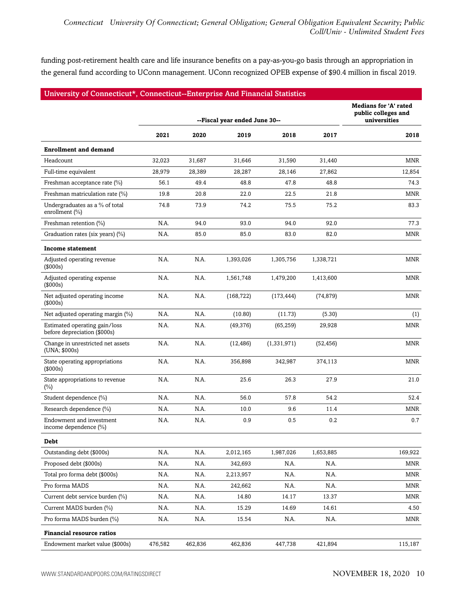funding post-retirement health care and life insurance benefits on a pay-as-you-go basis through an appropriation in the general fund according to UConn management. UConn recognized OPEB expense of \$90.4 million in fiscal 2019.

| University of Connecticut*, Connecticut--Enterprise And Financial Statistics |         |         |                               |             |           |                                                                     |
|------------------------------------------------------------------------------|---------|---------|-------------------------------|-------------|-----------|---------------------------------------------------------------------|
|                                                                              |         |         | --Fiscal year ended June 30-- |             |           | <b>Medians for 'A' rated</b><br>public colleges and<br>universities |
|                                                                              |         |         |                               |             |           |                                                                     |
|                                                                              | 2021    | 2020    | 2019                          | 2018        | 2017      | 2018                                                                |
| <b>Enrollment and demand</b>                                                 |         |         |                               |             |           |                                                                     |
| Headcount                                                                    | 32,023  | 31,687  | 31,646                        | 31,590      | 31,440    | <b>MNR</b>                                                          |
| Full-time equivalent                                                         | 28,979  | 28,389  | 28,287                        | 28,146      | 27,862    | 12,854                                                              |
| Freshman acceptance rate (%)                                                 | 56.1    | 49.4    | 48.8                          | 47.8        | 48.8      | 74.3                                                                |
| Freshman matriculation rate (%)                                              | 19.8    | 20.8    | 22.0                          | 22.5        | 21.8      | <b>MNR</b>                                                          |
| Undergraduates as a % of total<br>enrollment (%)                             | 74.8    | 73.9    | 74.2                          | 75.5        | 75.2      | 83.3                                                                |
| Freshman retention (%)                                                       | N.A.    | 94.0    | 93.0                          | 94.0        | 92.0      | 77.3                                                                |
| Graduation rates (six years) (%)                                             | N.A.    | 85.0    | 85.0                          | 83.0        | 82.0      | <b>MNR</b>                                                          |
| <b>Income statement</b>                                                      |         |         |                               |             |           |                                                                     |
| Adjusted operating revenue<br>(\$000s)                                       | N.A.    | N.A.    | 1,393,026                     | 1,305,756   | 1,338,721 | MNR                                                                 |
| Adjusted operating expense<br>(\$000s)                                       | N.A.    | N.A.    | 1,561,748                     | 1,479,200   | 1,413,600 | <b>MNR</b>                                                          |
| Net adjusted operating income<br>(\$000s)                                    | N.A.    | N.A.    | (168, 722)                    | (173, 444)  | (74, 879) | <b>MNR</b>                                                          |
| Net adjusted operating margin (%)                                            | N.A.    | N.A.    | (10.80)                       | (11.73)     | (5.30)    | (1)                                                                 |
| Estimated operating gain/loss<br>before depreciation (\$000s)                | N.A.    | N.A.    | (49, 376)                     | (65, 259)   | 29,928    | <b>MNR</b>                                                          |
| Change in unrestricted net assets<br>(UNA; \$000s)                           | N.A.    | N.A.    | (12, 486)                     | (1,331,971) | (52,456)  | MNR                                                                 |
| State operating appropriations<br>(\$000s)                                   | N.A.    | N.A.    | 356,898                       | 342,987     | 374,113   | <b>MNR</b>                                                          |
| State appropriations to revenue<br>(%)                                       | N.A.    | N.A.    | 25.6                          | 26.3        | 27.9      | 21.0                                                                |
| Student dependence (%)                                                       | N.A.    | N.A.    | 56.0                          | 57.8        | 54.2      | 52.4                                                                |
| Research dependence (%)                                                      | N.A.    | N.A.    | 10.0                          | 9.6         | 11.4      | <b>MNR</b>                                                          |
| Endowment and investment<br>income dependence (%)                            | N.A.    | N.A.    | 0.9                           | 0.5         | 0.2       | 0.7                                                                 |
| Debt                                                                         |         |         |                               |             |           |                                                                     |
| Outstanding debt (\$000s)                                                    | N.A.    | N.A.    | 2,012,165                     | 1,987,026   | 1,653,885 | 169,922                                                             |
| Proposed debt (\$000s)                                                       | N.A.    | N.A.    | 342,693                       | N.A.        | N.A.      | MNR                                                                 |
| Total pro forma debt (\$000s)                                                | N.A.    | N.A.    | 2,213,957                     | N.A.        | N.A.      | MNR                                                                 |
| Pro forma MADS                                                               | N.A.    | N.A.    | 242,662                       | N.A.        | N.A.      | MNR                                                                 |
| Current debt service burden (%)                                              | N.A.    | N.A.    | 14.80                         | 14.17       | 13.37     | MNR                                                                 |
| Current MADS burden (%)                                                      | N.A.    | N.A.    | 15.29                         | 14.69       | 14.61     | 4.50                                                                |
| Pro forma MADS burden (%)                                                    | N.A.    | N.A.    | 15.54                         | N.A.        | N.A.      | MNR                                                                 |
| <b>Financial resource ratios</b>                                             |         |         |                               |             |           |                                                                     |
| Endowment market value (\$000s)                                              | 476,582 | 462,836 | 462,836                       | 447,738     | 421,894   | 115,187                                                             |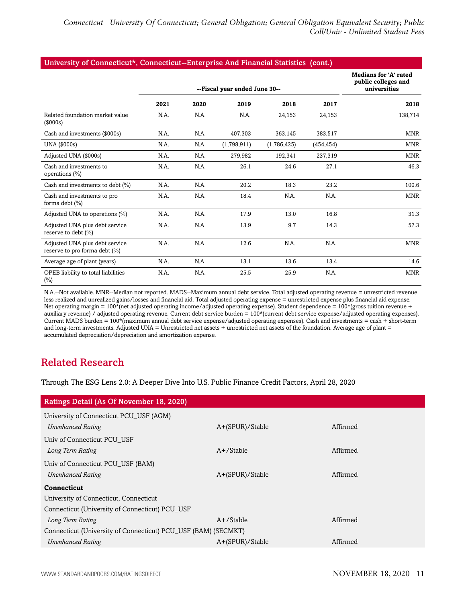#### University of Connecticut\*, Connecticut--Enterprise And Financial Statistics (cont.)

|                                                                 |      |      |                               |             |            | Medians for 'A' rated<br>public colleges and |
|-----------------------------------------------------------------|------|------|-------------------------------|-------------|------------|----------------------------------------------|
|                                                                 |      |      | --Fiscal year ended June 30-- |             |            | universities                                 |
|                                                                 | 2021 | 2020 | 2019                          | 2018        | 2017       | 2018                                         |
| Related foundation market value<br>(\$000s)                     | N.A. | N.A. | N.A.                          | 24,153      | 24,153     | 138,714                                      |
| Cash and investments (\$000s)                                   | N.A. | N.A. | 407,303                       | 363,145     | 383,517    | MNR                                          |
| UNA (\$000s)                                                    | N.A. | N.A. | (1,798,911)                   | (1,786,425) | (454, 454) | <b>MNR</b>                                   |
| Adjusted UNA (\$000s)                                           | N.A. | N.A. | 279,982                       | 192,341     | 237,319    | <b>MNR</b>                                   |
| Cash and investments to<br>operations (%)                       | N.A. | N.A. | 26.1                          | 24.6        | 27.1       | 46.3                                         |
| Cash and investments to debt (%)                                | N.A. | N.A. | 20.2                          | 18.3        | 23.2       | 100.6                                        |
| Cash and investments to pro<br>forma debt $(\%)$                | N.A. | N.A. | 18.4                          | N.A.        | N.A.       | <b>MNR</b>                                   |
| Adjusted UNA to operations (%)                                  | N.A. | N.A. | 17.9                          | 13.0        | 16.8       | 31.3                                         |
| Adjusted UNA plus debt service<br>reserve to debt (%)           | N.A. | N.A. | 13.9                          | 9.7         | 14.3       | 57.3                                         |
| Adjusted UNA plus debt service<br>reserve to pro forma debt (%) | N.A. | N.A. | 12.6                          | N.A.        | N.A.       | <b>MNR</b>                                   |
| Average age of plant (years)                                    | N.A. | N.A. | 13.1                          | 13.6        | 13.4       | 14.6                                         |
| OPEB liability to total liabilities<br>$(\%)$                   | N.A. | N.A. | 25.5                          | 25.9        | N.A.       | <b>MNR</b>                                   |

N.A.--Not available. MNR--Median not reported. MADS--Maximum annual debt service. Total adjusted operating revenue = unrestricted revenue less realized and unrealized gains/losses and financial aid. Total adjusted operating expense = unrestricted expense plus financial aid expense. Net operating margin = 100\*(net adjusted operating income/adjusted operating expense). Student dependence = 100\*(gross tuition revenue + auxiliary revenue) / adjusted operating revenue. Current debt service burden = 100\*(current debt service expense/adjusted operating expenses). Current MADS burden = 100\*(maximum annual debt service expense/adjusted operating expenses). Cash and investments = cash + short-term and long-term investments. Adjusted UNA = Unrestricted net assets + unrestricted net assets of the foundation. Average age of plant = accumulated depreciation/depreciation and amortization expense.

### <span id="page-10-0"></span>Related Research

Through The ESG Lens 2.0: A Deeper Dive Into U.S. Public Finance Credit Factors, April 28, 2020

| Ratings Detail (As Of November 18, 2020)                       |                 |          |  |  |  |
|----------------------------------------------------------------|-----------------|----------|--|--|--|
| University of Connecticut PCU USF (AGM)                        |                 |          |  |  |  |
| <b>Unenhanced Rating</b>                                       | A+(SPUR)/Stable | Affirmed |  |  |  |
| Univ of Connecticut PCU USF                                    |                 |          |  |  |  |
| Long Term Rating                                               | $A+$ /Stable    | Affirmed |  |  |  |
| Univ of Connecticut PCU_USF (BAM)                              |                 |          |  |  |  |
| <b>Unenhanced Rating</b>                                       | A+(SPUR)/Stable | Affirmed |  |  |  |
| <b>Connecticut</b>                                             |                 |          |  |  |  |
| University of Connecticut, Connecticut                         |                 |          |  |  |  |
| Connecticut (University of Connecticut) PCU_USF                |                 |          |  |  |  |
| Long Term Rating                                               | $A+$ /Stable    | Affirmed |  |  |  |
| Connecticut (University of Connecticut) PCU_USF (BAM) (SECMKT) |                 |          |  |  |  |
| <b>Unenhanced Rating</b>                                       | A+(SPUR)/Stable | Affirmed |  |  |  |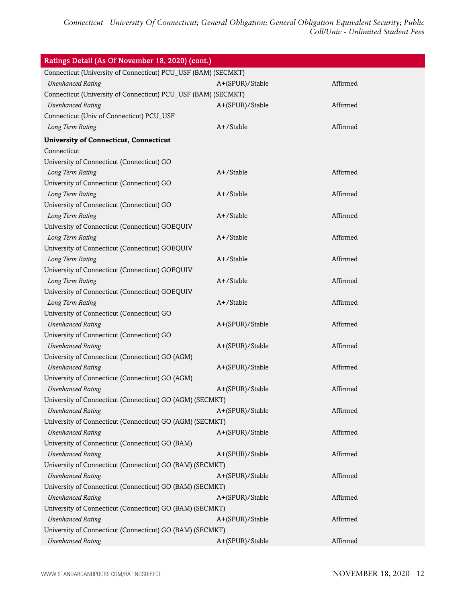*Connecticut University Of Connecticut; General Obligation; General Obligation Equivalent Security; Public Coll/Univ - Unlimited Student Fees*

| Ratings Detail (As Of November 18, 2020) (cont.)               |                 |          |  |  |  |
|----------------------------------------------------------------|-----------------|----------|--|--|--|
| Connecticut (University of Connecticut) PCU_USF (BAM) (SECMKT) |                 |          |  |  |  |
| <b>Unenhanced Rating</b>                                       | A+(SPUR)/Stable | Affirmed |  |  |  |
| Connecticut (University of Connecticut) PCU_USF (BAM) (SECMKT) |                 |          |  |  |  |
| <b>Unenhanced Rating</b>                                       | A+(SPUR)/Stable | Affirmed |  |  |  |
| Connecticut (Univ of Connecticut) PCU_USF                      |                 |          |  |  |  |
| Long Term Rating                                               | A+/Stable       | Affirmed |  |  |  |
| <b>University of Connecticut, Connecticut</b>                  |                 |          |  |  |  |
| Connecticut                                                    |                 |          |  |  |  |
| University of Connecticut (Connecticut) GO                     |                 |          |  |  |  |
| Long Term Rating                                               | A+/Stable       | Affirmed |  |  |  |
| University of Connecticut (Connecticut) GO                     |                 |          |  |  |  |
| Long Term Rating                                               | A+/Stable       | Affirmed |  |  |  |
| University of Connecticut (Connecticut) GO                     |                 |          |  |  |  |
| Long Term Rating                                               | A+/Stable       | Affirmed |  |  |  |
| University of Connecticut (Connecticut) GOEQUIV                |                 |          |  |  |  |
| Long Term Rating                                               | A+/Stable       | Affirmed |  |  |  |
| University of Connecticut (Connecticut) GOEQUIV                |                 |          |  |  |  |
| Long Term Rating                                               | A+/Stable       | Affirmed |  |  |  |
| University of Connecticut (Connecticut) GOEQUIV                |                 |          |  |  |  |
| Long Term Rating                                               | A+/Stable       | Affirmed |  |  |  |
| University of Connecticut (Connecticut) GOEQUIV                |                 |          |  |  |  |
| Long Term Rating                                               | A+/Stable       | Affirmed |  |  |  |
| University of Connecticut (Connecticut) GO                     |                 |          |  |  |  |
| <b>Unenhanced Rating</b>                                       | A+(SPUR)/Stable | Affirmed |  |  |  |
| University of Connecticut (Connecticut) GO                     |                 |          |  |  |  |
| <b>Unenhanced Rating</b>                                       | A+(SPUR)/Stable | Affirmed |  |  |  |
| University of Connecticut (Connecticut) GO (AGM)               |                 |          |  |  |  |
| <b>Unenhanced Rating</b>                                       | A+(SPUR)/Stable | Affirmed |  |  |  |
| University of Connecticut (Connecticut) GO (AGM)               |                 |          |  |  |  |
| <b>Unenhanced Rating</b>                                       | A+(SPUR)/Stable | Affirmed |  |  |  |
| University of Connecticut (Connecticut) GO (AGM) (SECMKT)      |                 |          |  |  |  |
| <b>Unenhanced Rating</b>                                       | A+(SPUR)/Stable | Affirmed |  |  |  |
| University of Connecticut (Connecticut) GO (AGM) (SECMKT)      |                 |          |  |  |  |
| <b>Unenhanced Rating</b>                                       | A+(SPUR)/Stable | Affirmed |  |  |  |
| University of Connecticut (Connecticut) GO (BAM)               |                 |          |  |  |  |
| <b>Unenhanced Rating</b>                                       | A+(SPUR)/Stable | Affirmed |  |  |  |
| University of Connecticut (Connecticut) GO (BAM) (SECMKT)      |                 |          |  |  |  |
| <b>Unenhanced Rating</b>                                       | A+(SPUR)/Stable | Affirmed |  |  |  |
| University of Connecticut (Connecticut) GO (BAM) (SECMKT)      |                 |          |  |  |  |
| <b>Unenhanced Rating</b>                                       | A+(SPUR)/Stable | Affirmed |  |  |  |
| University of Connecticut (Connecticut) GO (BAM) (SECMKT)      |                 |          |  |  |  |
| <b>Unenhanced Rating</b>                                       | A+(SPUR)/Stable | Affirmed |  |  |  |
| University of Connecticut (Connecticut) GO (BAM) (SECMKT)      |                 |          |  |  |  |
| <b>Unenhanced Rating</b>                                       | A+(SPUR)/Stable | Affirmed |  |  |  |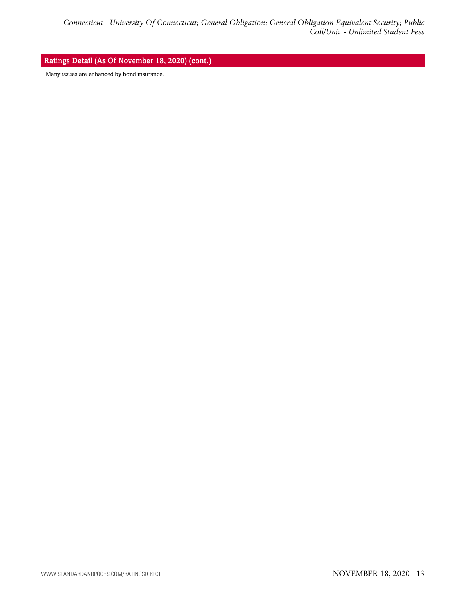#### Ratings Detail (As Of November 18, 2020) (cont.)

Many issues are enhanced by bond insurance.